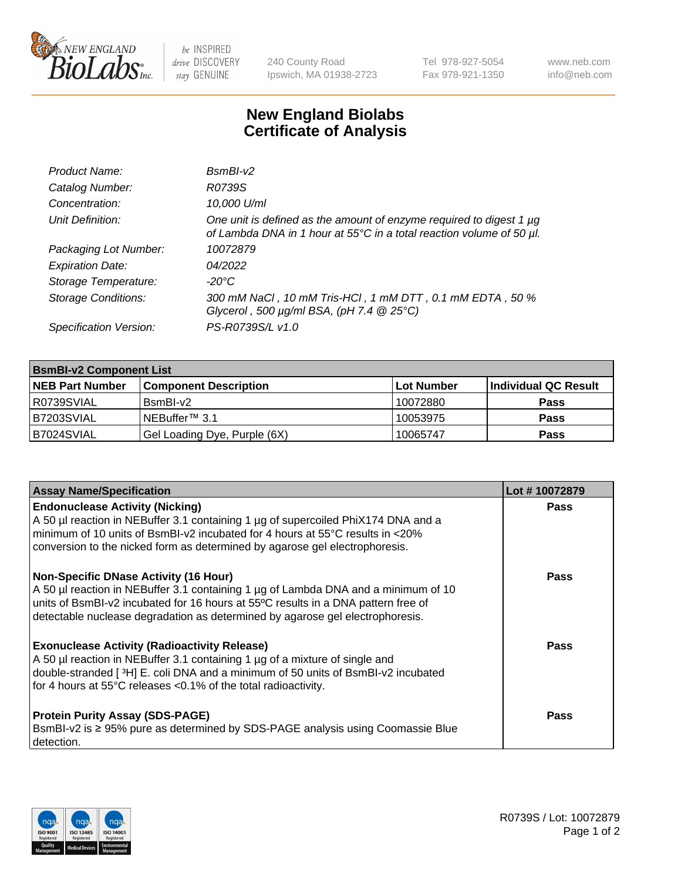

 $be$  INSPIRED drive DISCOVERY stay GENUINE

240 County Road Ipswich, MA 01938-2723 Tel 978-927-5054 Fax 978-921-1350 www.neb.com info@neb.com

## **New England Biolabs Certificate of Analysis**

| Product Name:              | $BsmBI-v2$                                                                                                                                  |
|----------------------------|---------------------------------------------------------------------------------------------------------------------------------------------|
| Catalog Number:            | R0739S                                                                                                                                      |
| Concentration:             | 10,000 U/ml                                                                                                                                 |
| Unit Definition:           | One unit is defined as the amount of enzyme required to digest 1 µg<br>of Lambda DNA in 1 hour at 55°C in a total reaction volume of 50 µl. |
| Packaging Lot Number:      | 10072879                                                                                                                                    |
| <b>Expiration Date:</b>    | 04/2022                                                                                                                                     |
| Storage Temperature:       | $-20^{\circ}$ C                                                                                                                             |
| <b>Storage Conditions:</b> | 300 mM NaCl, 10 mM Tris-HCl, 1 mM DTT, 0.1 mM EDTA, 50 %<br>Glycerol, 500 $\mu$ g/ml BSA, (pH 7.4 $@25°C$ )                                 |
| Specification Version:     | PS-R0739S/L v1.0                                                                                                                            |

| <b>BsmBI-v2 Component List</b> |                              |                   |                      |  |  |
|--------------------------------|------------------------------|-------------------|----------------------|--|--|
| <b>NEB Part Number</b>         | <b>Component Description</b> | <b>Lot Number</b> | Individual QC Result |  |  |
| I R0739SVIAL                   | BsmBI-v2                     | 10072880          | <b>Pass</b>          |  |  |
| B7203SVIAL                     | INEBuffer™ 3.1               | 10053975          | <b>Pass</b>          |  |  |
| B7024SVIAL                     | Gel Loading Dye, Purple (6X) | 10065747          | <b>Pass</b>          |  |  |

| <b>Assay Name/Specification</b>                                                                                                                                                                                                                                                                          | Lot #10072879 |
|----------------------------------------------------------------------------------------------------------------------------------------------------------------------------------------------------------------------------------------------------------------------------------------------------------|---------------|
| <b>Endonuclease Activity (Nicking)</b><br>A 50 µl reaction in NEBuffer 3.1 containing 1 µg of supercoiled PhiX174 DNA and a<br>minimum of 10 units of BsmBI-v2 incubated for 4 hours at 55 $\degree$ C results in <20%<br>conversion to the nicked form as determined by agarose gel electrophoresis.    | <b>Pass</b>   |
| <b>Non-Specific DNase Activity (16 Hour)</b><br>A 50 µl reaction in NEBuffer 3.1 containing 1 µg of Lambda DNA and a minimum of 10<br>units of BsmBI-v2 incubated for 16 hours at 55°C results in a DNA pattern free of<br>detectable nuclease degradation as determined by agarose gel electrophoresis. | Pass          |
| <b>Exonuclease Activity (Radioactivity Release)</b><br>A 50 µl reaction in NEBuffer 3.1 containing 1 µg of a mixture of single and<br>double-stranded [3H] E. coli DNA and a minimum of 50 units of BsmBI-v2 incubated<br>for 4 hours at 55°C releases <0.1% of the total radioactivity.                 | <b>Pass</b>   |
| <b>Protein Purity Assay (SDS-PAGE)</b><br>BsmBI-v2 is ≥ 95% pure as determined by SDS-PAGE analysis using Coomassie Blue<br>I detection.                                                                                                                                                                 | <b>Pass</b>   |